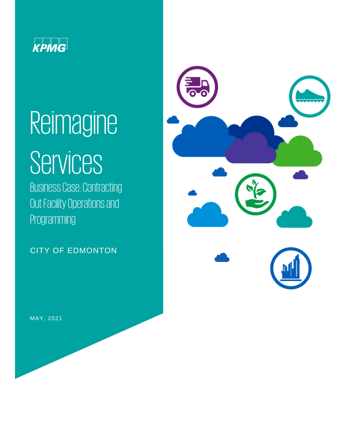

# Reimagine

# **Services**

Business Case: Contracting Out Facility Operations and Programming

CITY OF EDMONTON



MAY, 2021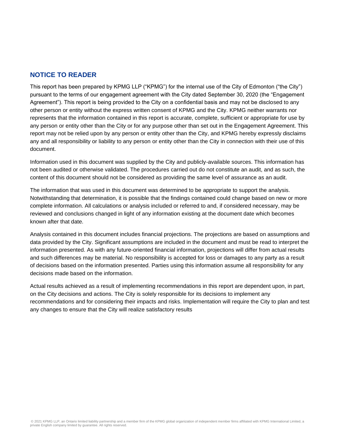# **NOTICE TO READER**

This report has been prepared by KPMG LLP ("KPMG") for the internal use of the City of Edmonton ("the City") pursuant to the terms of our engagement agreement with the City dated September 30, 2020 (the "Engagement Agreement"). This report is being provided to the City on a confidential basis and may not be disclosed to any other person or entity without the express written consent of KPMG and the City. KPMG neither warrants nor represents that the information contained in this report is accurate, complete, sufficient or appropriate for use by any person or entity other than the City or for any purpose other than set out in the Engagement Agreement. This report may not be relied upon by any person or entity other than the City, and KPMG hereby expressly disclaims any and all responsibility or liability to any person or entity other than the City in connection with their use of this document.

Information used in this document was supplied by the City and publicly-available sources. This information has not been audited or otherwise validated. The procedures carried out do not constitute an audit, and as such, the content of this document should not be considered as providing the same level of assurance as an audit.

The information that was used in this document was determined to be appropriate to support the analysis. Notwithstanding that determination, it is possible that the findings contained could change based on new or more complete information. All calculations or analysis included or referred to and, if considered necessary, may be reviewed and conclusions changed in light of any information existing at the document date which becomes known after that date.

Analysis contained in this document includes financial projections. The projections are based on assumptions and data provided by the City. Significant assumptions are included in the document and must be read to interpret the information presented. As with any future-oriented financial information, projections will differ from actual results and such differences may be material. No responsibility is accepted for loss or damages to any party as a result of decisions based on the information presented. Parties using this information assume all responsibility for any decisions made based on the information.

Actual results achieved as a result of implementing recommendations in this report are dependent upon, in part, on the City decisions and actions. The City is solely responsible for its decisions to implement any recommendations and for considering their impacts and risks. Implementation will require the City to plan and test any changes to ensure that the City will realize satisfactory results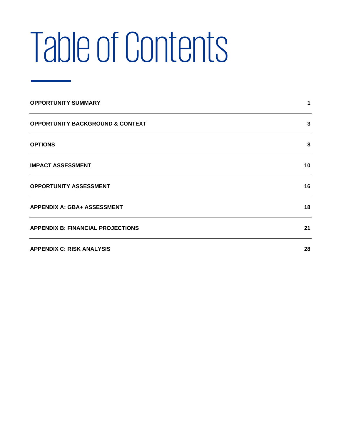# Table of Contents

| <b>OPPORTUNITY SUMMARY</b>                  |    |
|---------------------------------------------|----|
| <b>OPPORTUNITY BACKGROUND &amp; CONTEXT</b> | 3  |
| <b>OPTIONS</b>                              | 8  |
| <b>IMPACT ASSESSMENT</b>                    | 10 |
| <b>OPPORTUNITY ASSESSMENT</b>               | 16 |
| <b>APPENDIX A: GBA+ ASSESSMENT</b>          | 18 |
| <b>APPENDIX B: FINANCIAL PROJECTIONS</b>    | 21 |
| <b>APPENDIX C: RISK ANALYSIS</b>            | 28 |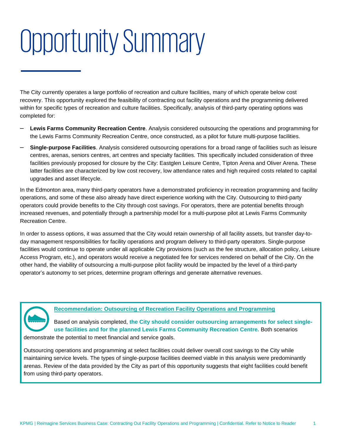# <span id="page-3-0"></span>Opportunity Summary

The City currently operates a large portfolio of recreation and culture facilities, many of which operate below cost recovery. This opportunity explored the feasibility of contracting out facility operations and the programming delivered within for specific types of recreation and culture facilities. Specifically, analysis of third-party operating options was completed for:

- ‒ **Lewis Farms Community Recreation Centre**. Analysis considered outsourcing the operations and programming for the Lewis Farms Community Recreation Centre, once constructed, as a pilot for future multi-purpose facilities.
- ‒ **Single-purpose Facilities**. Analysis considered outsourcing operations for a broad range of facilities such as leisure centres, arenas, seniors centres, art centres and specialty facilities. This specifically included consideration of three facilities previously proposed for closure by the City: Eastglen Leisure Centre, Tipton Arena and Oliver Arena. These latter facilities are characterized by low cost recovery, low attendance rates and high required costs related to capital upgrades and asset lifecycle.

In the Edmonton area, many third-party operators have a demonstrated proficiency in recreation programming and facility operations, and some of these also already have direct experience working with the City. Outsourcing to third-party operators could provide benefits to the City through cost savings. For operators, there are potential benefits through increased revenues, and potentially through a partnership model for a multi-purpose pilot at Lewis Farms Community Recreation Centre.

In order to assess options, it was assumed that the City would retain ownership of all facility assets, but transfer day-today management responsibilities for facility operations and program delivery to third-party operators. Single-purpose facilities would continue to operate under all applicable City provisions (such as the fee structure, allocation policy, Leisure Access Program, etc.), and operators would receive a negotiated fee for services rendered on behalf of the City. On the other hand, the viability of outsourcing a multi-purpose pilot facility would be impacted by the level of a third-party operator's autonomy to set prices, determine program offerings and generate alternative revenues.



# **Recommendation: Outsourcing of Recreation Facility Operations and Programming**

Based on analysis completed, **the City should consider outsourcing arrangements for select singleuse facilities and for the planned Lewis Farms Community Recreation Centre.** Both scenarios demonstrate the potential to meet financial and service goals.

Outsourcing operations and programming at select facilities could deliver overall cost savings to the City while maintaining service levels. The types of single-purpose facilities deemed viable in this analysis were predominantly arenas. Review of the data provided by the City as part of this opportunity suggests that eight facilities could benefit from using third-party operators.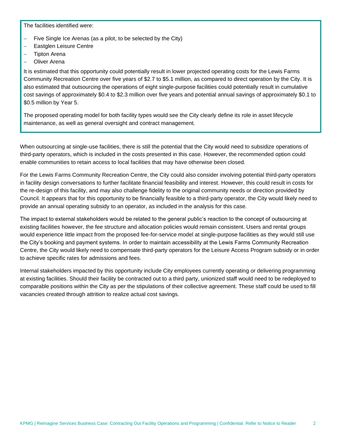The facilities identified were:

- − Five Single Ice Arenas (as a pilot, to be selected by the City)
- Eastglen Leisure Centre
- − Tipton Arena
- − Oliver Arena

It is estimated that this opportunity could potentially result in lower projected operating costs for the Lewis Farms Community Recreation Centre over five years of \$2.7 to \$5.1 million, as compared to direct operation by the City. It is also estimated that outsourcing the operations of eight single-purpose facilities could potentially result in cumulative cost savings of approximately \$0.4 to \$2.3 million over five years and potential annual savings of approximately \$0.1 to \$0.5 million by Year 5.

The proposed operating model for both facility types would see the City clearly define its role in asset lifecycle maintenance, as well as general oversight and contract management.

When outsourcing at single-use facilities, there is still the potential that the City would need to subsidize operations of third-party operators, which is included in the costs presented in this case. However, the recommended option could enable communities to retain access to local facilities that may have otherwise been closed.

For the Lewis Farms Community Recreation Centre, the City could also consider involving potential third-party operators in facility design conversations to further facilitate financial feasibility and interest. However, this could result in costs for the re-design of this facility, and may also challenge fidelity to the original community needs or direction provided by Council. It appears that for this opportunity to be financially feasible to a third-party operator, the City would likely need to provide an annual operating subsidy to an operator, as included in the analysis for this case.

The impact to external stakeholders would be related to the general public's reaction to the concept of outsourcing at existing facilities however, the fee structure and allocation policies would remain consistent. Users and rental groups would experience little impact from the proposed fee-for-service model at single-purpose facilities as they would still use the City's booking and payment systems. In order to maintain accessibility at the Lewis Farms Community Recreation Centre, the City would likely need to compensate third-party operators for the Leisure Access Program subsidy or in order to achieve specific rates for admissions and fees.

Internal stakeholders impacted by this opportunity include City employees currently operating or delivering programming at existing facilities. Should their facility be contracted out to a third party, unionized staff would need to be redeployed to comparable positions within the City as per the stipulations of their collective agreement. These staff could be used to fill vacancies created through attrition to realize actual cost savings.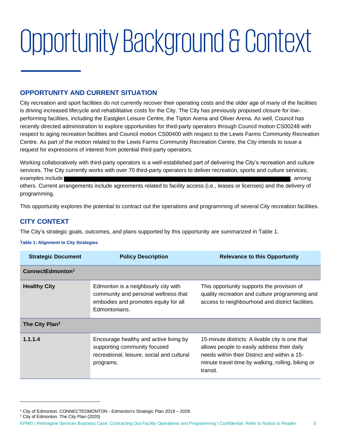# <span id="page-5-0"></span>Opportunity Background & Context

# **OPPORTUNITY AND CURRENT SITUATION**

City recreation and sport facilities do not currently recover their operating costs and the older age of many of the facilities is driving increased lifecycle and rehabilitative costs for the City. The City has previously proposed closure for lowperforming facilities, including the Eastglen Leisure Centre, the Tipton Arena and Oliver Arena. As well, Council has recently directed administration to explore opportunities for third-party operators through Council motion CS00248 with respect to aging recreation facilities and Council motion CS00400 with respect to the Lewis Farms Community Recreation Centre. As part of the motion related to the Lewis Farms Community Recreation Centre, the City intends to issue a request for expressions of interest from potential third-party operators.

Working collaboratively with third-party operators is a well-established part of delivering the City's recreation and culture services. The City currently works with over 70 third-party operators to deliver recreation, sports and culture services; examples include state of the state of the state of the state of the state of the state of the state of the state of the state of the state of the state of the state of the state of the state of the state of the state of t

others. Current arrangements include agreements related to facility access (i.e., leases or licenses) and the delivery of programming.

This opportunity explores the potential to contract out the operations and programming of several City recreation facilities.

# **CITY CONTEXT**

The City's strategic goals, outcomes, and plans supported by this opportunity are summarized in [Table 1.](#page-5-1)

#### <span id="page-5-1"></span>**Table 1: Alignment to City Strategies**

| <b>Strategic Document</b>    | <b>Policy Description</b>                                                                                                            | <b>Relevance to this Opportunity</b>                                                                                                                                                                            |
|------------------------------|--------------------------------------------------------------------------------------------------------------------------------------|-----------------------------------------------------------------------------------------------------------------------------------------------------------------------------------------------------------------|
| ConnectEdmonton <sup>1</sup> |                                                                                                                                      |                                                                                                                                                                                                                 |
| <b>Healthy City</b>          | Edmonton is a neighbourly city with<br>community and personal wellness that<br>embodies and promotes equity for all<br>Edmontonians. | This opportunity supports the provision of<br>quality recreation and culture programming and<br>access to neighbourhood and district facilities.                                                                |
| The City Plan <sup>2</sup>   |                                                                                                                                      |                                                                                                                                                                                                                 |
| 1.1.1.4                      | Encourage healthy and active living by<br>supporting community focused<br>recreational, leisure, social and cultural<br>programs.    | 15-minute districts: A livable city is one that<br>allows people to easily address their daily<br>needs within their District and within a 15-<br>minute travel time by walking, rolling, biking or<br>transit. |

<sup>2</sup> City of Edmonton. The City Plan (2020)

<sup>&</sup>lt;sup>1</sup> City of Edmonton. CONNECTEDMONTON - Edmonton's Strategic Plan 2019 - 2028.

KPMG | Reimagine Services Business Case: Contracting Out Facility Operations and Programming | Confidential. Refer to Notice to Reader 3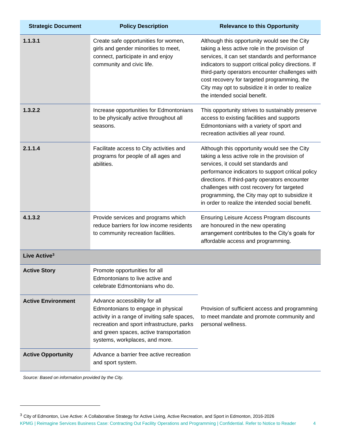| <b>Strategic Document</b> | <b>Policy Description</b>                                                                                                                                                                                                                      | <b>Relevance to this Opportunity</b>                                                                                                                                                                                                                                                                                                                                                            |
|---------------------------|------------------------------------------------------------------------------------------------------------------------------------------------------------------------------------------------------------------------------------------------|-------------------------------------------------------------------------------------------------------------------------------------------------------------------------------------------------------------------------------------------------------------------------------------------------------------------------------------------------------------------------------------------------|
| 1.1.3.1                   | Create safe opportunities for women,<br>girls and gender minorities to meet,<br>connect, participate in and enjoy<br>community and civic life.                                                                                                 | Although this opportunity would see the City<br>taking a less active role in the provision of<br>services, it can set standards and performance<br>indicators to support critical policy directions. If<br>third-party operators encounter challenges with<br>cost recovery for targeted programming, the<br>City may opt to subsidize it in order to realize<br>the intended social benefit.   |
| 1.3.2.2                   | Increase opportunities for Edmontonians<br>to be physically active throughout all<br>seasons.                                                                                                                                                  | This opportunity strives to sustainably preserve<br>access to existing facilities and supports<br>Edmontonians with a variety of sport and<br>recreation activities all year round.                                                                                                                                                                                                             |
| 2.1.1.4                   | Facilitate access to City activities and<br>programs for people of all ages and<br>abilities.                                                                                                                                                  | Although this opportunity would see the City<br>taking a less active role in the provision of<br>services, it could set standards and<br>performance indicators to support critical policy<br>directions. If third-party operators encounter<br>challenges with cost recovery for targeted<br>programming, the City may opt to subsidize it<br>in order to realize the intended social benefit. |
| 4.1.3.2                   | Provide services and programs which<br>reduce barriers for low income residents<br>to community recreation facilities.                                                                                                                         | Ensuring Leisure Access Program discounts<br>are honoured in the new operating<br>arrangement contributes to the City's goals for<br>affordable access and programming.                                                                                                                                                                                                                         |
| Live Active <sup>3</sup>  |                                                                                                                                                                                                                                                |                                                                                                                                                                                                                                                                                                                                                                                                 |
| <b>Active Story</b>       | Promote opportunities for all<br>Edmontonians to live active and<br>celebrate Edmontonians who do.                                                                                                                                             |                                                                                                                                                                                                                                                                                                                                                                                                 |
| <b>Active Environment</b> | Advance accessibility for all<br>Edmontonians to engage in physical<br>activity in a range of inviting safe spaces,<br>recreation and sport infrastructure, parks<br>and green spaces, active transportation<br>systems, workplaces, and more. | Provision of sufficient access and programming<br>to meet mandate and promote community and<br>personal wellness.                                                                                                                                                                                                                                                                               |
| <b>Active Opportunity</b> | Advance a barrier free active recreation<br>and sport system.                                                                                                                                                                                  |                                                                                                                                                                                                                                                                                                                                                                                                 |

*Source: Based on information provided by the City.*

<sup>3</sup> City of Edmonton, Live Active: A Collaborative Strategy for Active Living, Active Recreation, and Sport in Edmonton, 2016-2026

KPMG | Reimagine Services Business Case: Contracting Out Facility Operations and Programming | Confidential. Refer to Notice to Reader 4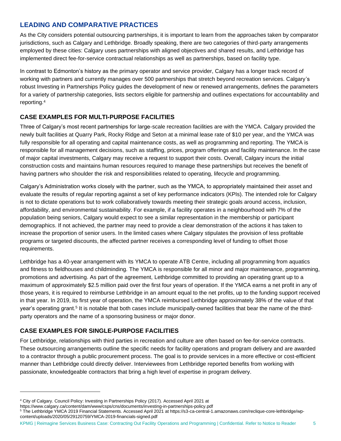# **LEADING AND COMPARATIVE PRACTICES**

As the City considers potential outsourcing partnerships, it is important to learn from the approaches taken by comparator jurisdictions, such as Calgary and Lethbridge. Broadly speaking, there are two categories of third-party arrangements employed by these cities: Calgary uses partnerships with aligned objectives and shared results, and Lethbridge has implemented direct fee-for-service contractual relationships as well as partnerships, based on facility type.

In contrast to Edmonton's history as the primary operator and service provider, Calgary has a longer track record of working with partners and currently manages over 500 partnerships that stretch beyond recreation services. Calgary's robust Investing in Partnerships Policy guides the development of new or renewed arrangements, defines the parameters for a variety of partnership categories, lists sectors eligible for partnership and outlines expectations for accountability and reporting.<sup>4</sup>

# **CASE EXAMPLES FOR MULTI-PURPOSE FACILITIES**

Three of Calgary's most recent partnerships for large-scale recreation facilities are with the YMCA. Calgary provided the newly built facilities at Quarry Park, Rocky Ridge and Seton at a minimal lease rate of \$10 per year, and the YMCA was fully responsible for all operating and capital maintenance costs, as well as programming and reporting. The YMCA is responsible for all management decisions, such as staffing, prices, program offerings and facility maintenance. In the case of major capital investments, Calgary may receive a request to support their costs. Overall, Calgary incurs the initial construction costs and maintains human resources required to manage these partnerships but receives the benefit of having partners who shoulder the risk and responsibilities related to operating, lifecycle and programming.

Calgary's Administration works closely with the partner, such as the YMCA, to appropriately maintained their asset and evaluate the results of regular reporting against a set of key performance indicators (KPIs). The intended role for Calgary is not to dictate operations but to work collaboratively towards meeting their strategic goals around access, inclusion, affordability, and environmental sustainability. For example, if a facility operates in a neighbourhood with 7% of the population being seniors, Calgary would expect to see a similar representation in the membership or participant demographics. If not achieved, the partner may need to provide a clear demonstration of the actions it has taken to increase the proportion of senior users. In the limited cases where Calgary stipulates the provision of less profitable programs or targeted discounts, the affected partner receives a corresponding level of funding to offset those requirements.

Lethbridge has a 40-year arrangement with its YMCA to operate ATB Centre, including all programming from aquatics and fitness to fieldhouses and childminding. The YMCA is responsible for all minor and major maintenance, programming, promotions and advertising. As part of the agreement, Lethbridge committed to providing an operating grant up to a maximum of approximately \$2.5 million paid over the first four years of operation. If the YMCA earns a net profit in any of those years, it is required to reimburse Lethbridge in an amount equal to the net profits, up to the funding support received in that year. In 2019, its first year of operation, the YMCA reimbursed Lethbridge approximately 38% of the value of that year's operating grant.<sup>5</sup> It is notable that both cases include municipally-owned facilities that bear the name of the thirdparty operators and the name of a sponsoring business or major donor.

# **CASE EXAMPLES FOR SINGLE-PURPOSE FACILITIES**

For Lethbridge, relationships with third parties in recreation and culture are often based on fee-for-service contracts. These outsourcing arrangements outline the specific needs for facility operations and program delivery and are awarded to a contractor through a public procurement process. The goal is to provide services in a more effective or cost-efficient manner than Lethbridge could directly deliver. Interviewees from Lethbridge reported benefits from working with passionate, knowledgeable contractors that bring a high level of expertise in program delivery.

KPMG | Reimagine Services Business Case: Contracting Out Facility Operations and Programming | Confidential. Refer to Notice to Reader 5

<sup>4</sup> City of Calgary. Council Policy: Investing in Partnerships Policy (2017). Accessed April 2021 at

https://www.calgary.ca/content/dam/www/csps/cns/documents/investing-in-partnerships-policy.pdf

<sup>5</sup> The Lethbridge YMCA 2019 Financial Statements. Accessed April 2021 at https://s3-ca-central-1.amazonaws.com/reclique-core-lethbridge/wpcontent/uploads/2020/05/29120759/YMCA-2019-financials-signed.pdf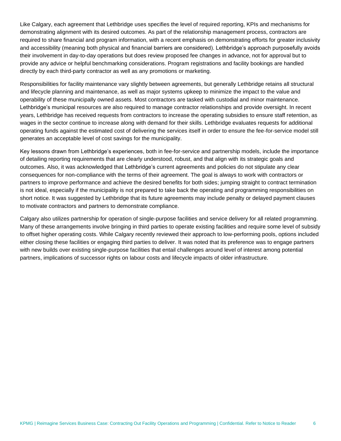Like Calgary, each agreement that Lethbridge uses specifies the level of required reporting, KPIs and mechanisms for demonstrating alignment with its desired outcomes. As part of the relationship management process, contractors are required to share financial and program information, with a recent emphasis on demonstrating efforts for greater inclusivity and accessibility (meaning both physical and financial barriers are considered). Lethbridge's approach purposefully avoids their involvement in day-to-day operations but does review proposed fee changes in advance, not for approval but to provide any advice or helpful benchmarking considerations. Program registrations and facility bookings are handled directly by each third-party contractor as well as any promotions or marketing.

Responsibilities for facility maintenance vary slightly between agreements, but generally Lethbridge retains all structural and lifecycle planning and maintenance, as well as major systems upkeep to minimize the impact to the value and operability of these municipally owned assets. Most contractors are tasked with custodial and minor maintenance. Lethbridge's municipal resources are also required to manage contractor relationships and provide oversight. In recent years, Lethbridge has received requests from contractors to increase the operating subsidies to ensure staff retention, as wages in the sector continue to increase along with demand for their skills. Lethbridge evaluates requests for additional operating funds against the estimated cost of delivering the services itself in order to ensure the fee-for-service model still generates an acceptable level of cost savings for the municipality.

Key lessons drawn from Lethbridge's experiences, both in fee-for-service and partnership models, include the importance of detailing reporting requirements that are clearly understood, robust, and that align with its strategic goals and outcomes. Also, it was acknowledged that Lethbridge's current agreements and policies do not stipulate any clear consequences for non-compliance with the terms of their agreement. The goal is always to work with contractors or partners to improve performance and achieve the desired benefits for both sides; jumping straight to contract termination is not ideal, especially if the municipality is not prepared to take back the operating and programming responsibilities on short notice. It was suggested by Lethbridge that its future agreements may include penalty or delayed payment clauses to motivate contractors and partners to demonstrate compliance.

Calgary also utilizes partnership for operation of single-purpose facilities and service delivery for all related programming. Many of these arrangements involve bringing in third parties to operate existing facilities and require some level of subsidy to offset higher operating costs. While Calgary recently reviewed their approach to low-performing pools, options included either closing these facilities or engaging third parties to deliver. It was noted that its preference was to engage partners with new builds over existing single-purpose facilities that entail challenges around level of interest among potential partners, implications of successor rights on labour costs and lifecycle impacts of older infrastructure.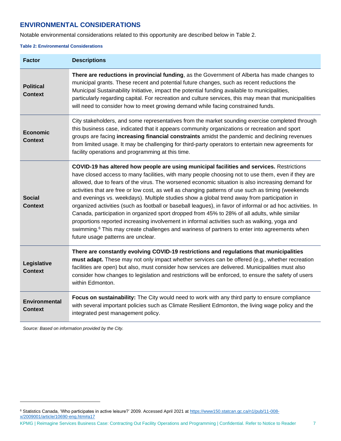# **ENVIRONMENTAL CONSIDERATIONS**

Notable environmental considerations related to this opportunity are described below in [Table 2.](#page-9-0)

#### <span id="page-9-0"></span>**Table 2: Environmental Considerations**

| <b>Factor</b>                          | <b>Descriptions</b>                                                                                                                                                                                                                                                                                                                                                                                                                                                                                                                                                                                                                                                                                                                                                                                                                                                                                                                                                        |
|----------------------------------------|----------------------------------------------------------------------------------------------------------------------------------------------------------------------------------------------------------------------------------------------------------------------------------------------------------------------------------------------------------------------------------------------------------------------------------------------------------------------------------------------------------------------------------------------------------------------------------------------------------------------------------------------------------------------------------------------------------------------------------------------------------------------------------------------------------------------------------------------------------------------------------------------------------------------------------------------------------------------------|
| <b>Political</b><br><b>Context</b>     | There are reductions in provincial funding, as the Government of Alberta has made changes to<br>municipal grants. These recent and potential future changes, such as recent reductions the<br>Municipal Sustainability Initiative, impact the potential funding available to municipalities,<br>particularly regarding capital. For recreation and culture services, this may mean that municipalities<br>will need to consider how to meet growing demand while facing constrained funds.                                                                                                                                                                                                                                                                                                                                                                                                                                                                                 |
| <b>Economic</b><br><b>Context</b>      | City stakeholders, and some representatives from the market sounding exercise completed through<br>this business case, indicated that it appears community organizations or recreation and sport<br>groups are facing increasing financial constraints amidst the pandemic and declining revenues<br>from limited usage. It may be challenging for third-party operators to entertain new agreements for<br>facility operations and programming at this time.                                                                                                                                                                                                                                                                                                                                                                                                                                                                                                              |
| <b>Social</b><br><b>Context</b>        | COVID-19 has altered how people are using municipal facilities and services. Restrictions<br>have closed access to many facilities, with many people choosing not to use them, even if they are<br>allowed, due to fears of the virus. The worsened economic situation is also increasing demand for<br>activities that are free or low cost, as well as changing patterns of use such as timing (weekends<br>and evenings vs. weekdays). Multiple studies show a global trend away from participation in<br>organized activities (such as football or baseball leagues), in favor of informal or ad hoc activities. In<br>Canada, participation in organized sport dropped from 45% to 28% of all adults, while similar<br>proportions reported increasing involvement in informal activities such as walking, yoga and<br>swimming. <sup>6</sup> This may create challenges and wariness of partners to enter into agreements when<br>future usage patterns are unclear. |
| Legislative<br><b>Context</b>          | There are constantly evolving COVID-19 restrictions and regulations that municipalities<br>must adapt. These may not only impact whether services can be offered (e.g., whether recreation<br>facilities are open) but also, must consider how services are delivered. Municipalities must also<br>consider how changes to legislation and restrictions will be enforced, to ensure the safety of users<br>within Edmonton.                                                                                                                                                                                                                                                                                                                                                                                                                                                                                                                                                |
| <b>Environmental</b><br><b>Context</b> | Focus on sustainability: The City would need to work with any third party to ensure compliance<br>with several important policies such as Climate Resilient Edmonton, the living wage policy and the<br>integrated pest management policy.                                                                                                                                                                                                                                                                                                                                                                                                                                                                                                                                                                                                                                                                                                                                 |

*Source: Based on information provided by the City.*

KPMG | Reimagine Services Business Case: Contracting Out Facility Operations and Programming | Confidential. Refer to Notice to Reader 7

<sup>&</sup>lt;sup>6</sup> Statistics Canada, 'Who participates in active leisure?' 2009. Accessed April 2021 at [https://www150.statcan.gc.ca/n1/pub/11-008](https://www150.statcan.gc.ca/n1/pub/11-008-x/2009001/article/10690-eng.htm#a17) [x/2009001/article/10690-eng.htm#a17](https://www150.statcan.gc.ca/n1/pub/11-008-x/2009001/article/10690-eng.htm#a17)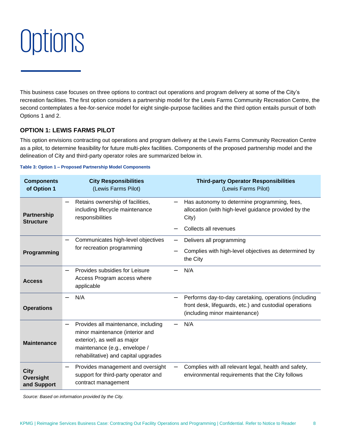# <span id="page-10-0"></span>**Options**

This business case focuses on three options to contract out operations and program delivery at some of the City's recreation facilities. The first option considers a partnership model for the Lewis Farms Community Recreation Centre, the second contemplates a fee-for-service model for eight single-purpose facilities and the third option entails pursuit of both Options 1 and 2.

### **OPTION 1: LEWIS FARMS PILOT**

This option envisions contracting out operations and program delivery at the Lewis Farms Community Recreation Centre as a pilot, to determine feasibility for future multi-plex facilities. Components of the proposed partnership model and the delineation of City and third-party operator roles are summarized below in.

#### <span id="page-10-1"></span>**Table 3: Option 1 – Proposed Partnership Model Components**

| <b>Components</b><br>of Option 1          | <b>City Responsibilities</b><br>(Lewis Farms Pilot)                                                                                                                            | <b>Third-party Operator Responsibilities</b><br>(Lewis Farms Pilot)                                                                              |
|-------------------------------------------|--------------------------------------------------------------------------------------------------------------------------------------------------------------------------------|--------------------------------------------------------------------------------------------------------------------------------------------------|
| <b>Partnership</b><br><b>Structure</b>    | Retains ownership of facilities,<br>including lifecycle maintenance<br>responsibilities                                                                                        | Has autonomy to determine programming, fees,<br>allocation (with high-level guidance provided by the<br>City)                                    |
|                                           |                                                                                                                                                                                | Collects all revenues                                                                                                                            |
|                                           | Communicates high-level objectives                                                                                                                                             | Delivers all programming                                                                                                                         |
| for recreation programming<br>Programming |                                                                                                                                                                                | Complies with high-level objectives as determined by<br>the City                                                                                 |
| <b>Access</b>                             | Provides subsidies for Leisure<br>Access Program access where<br>applicable                                                                                                    | N/A                                                                                                                                              |
| <b>Operations</b>                         | N/A                                                                                                                                                                            | Performs day-to-day caretaking, operations (including<br>front desk, lifeguards, etc.) and custodial operations<br>(including minor maintenance) |
| <b>Maintenance</b>                        | Provides all maintenance, including<br>minor maintenance (interior and<br>exterior), as well as major<br>maintenance (e.g., envelope /<br>rehabilitative) and capital upgrades | N/A                                                                                                                                              |
| <b>City</b><br>Oversight<br>and Support   | Provides management and oversight<br>support for third-party operator and<br>contract management                                                                               | Complies with all relevant legal, health and safety,<br>—<br>environmental requirements that the City follows                                    |

*Source: Based on information provided by the City.*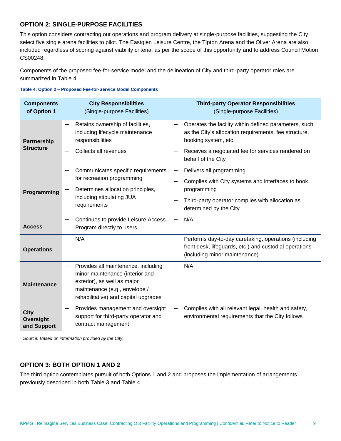# **OPTION 2: SINGLE-PURPOSE FACILITIES**

This option considers contracting out operations and program delivery at single-purpose facilities, suggesting the City select five single arena facilities to pilot. The Eastglen Leisure Centre, the Tipton Arena and the Oliver Arena are also included regardless of scoring against viability criteria, as per the scope of this opportunity and to address Council Motion CS00248.

Components of the proposed fee-for-service model and the delineation of City and third-party operator roles are summarized in [Table 4.](#page-11-0)

| <b>Components</b><br>of Option 1        | <b>City Responsibilities</b><br>(Single-purpose Facilities)                                                                                                                                                | <b>Third-party Operator Responsibilities</b><br>(Single-purpose Facilities)                                                                      |
|-----------------------------------------|------------------------------------------------------------------------------------------------------------------------------------------------------------------------------------------------------------|--------------------------------------------------------------------------------------------------------------------------------------------------|
| Partnership<br><b>Structure</b>         | Retains ownership of facilities,<br>including lifecycle maintenance<br>responsibilities                                                                                                                    | Operates the facility within defined parameters, such<br>as the City's allocation requirements, fee structure,<br>booking system, etc.           |
|                                         | Collects all revenues                                                                                                                                                                                      | Receives a negotiated fee for services rendered on<br>behalf of the City                                                                         |
|                                         | Communicates specific requirements<br>for recreation programming                                                                                                                                           | Delivers all programming<br>Complies with City systems and interfaces to book                                                                    |
| Programming                             | Determines allocation principles,<br>including stipulating JUA<br>requirements                                                                                                                             | programming<br>Third-party operator complies with allocation as<br>determined by the City                                                        |
| <b>Access</b>                           | Continues to provide Leisure Access<br>Program directly to users                                                                                                                                           | N/A                                                                                                                                              |
| <b>Operations</b>                       | N/A                                                                                                                                                                                                        | Performs day-to-day caretaking, operations (including<br>front desk, lifeguards, etc.) and custodial operations<br>(including minor maintenance) |
| <b>Maintenance</b>                      | Provides all maintenance, including<br>$\overline{\phantom{0}}$<br>minor maintenance (interior and<br>exterior), as well as major<br>maintenance (e.g., envelope /<br>rehabilitative) and capital upgrades | N/A                                                                                                                                              |
| <b>City</b><br>Oversight<br>and Support | Provides management and oversight<br>support for third-party operator and<br>contract management                                                                                                           | Complies with all relevant legal, health and safety,<br>environmental requirements that the City follows                                         |

<span id="page-11-0"></span>**Table 4: Option 2 – Proposed Fee-for-Service Model Components**

*Source: Based on information provided by the City.*

### **OPTION 3: BOTH OPTION 1 AND 2**

The third option contemplates pursuit of both Options 1 and 2 and proposes the implementation of arrangements previously described in both [Table 3](#page-10-1) and [Table 4.](#page-11-0)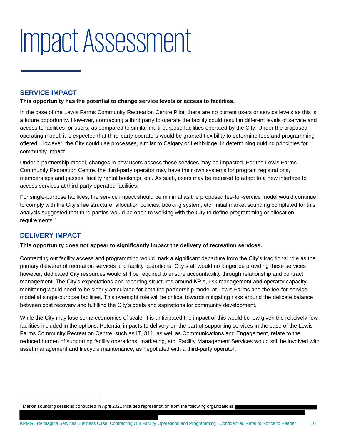# <span id="page-12-0"></span>Impact Assessment

# **SERVICE IMPACT**

#### **This opportunity has the potential to change service levels or access to facilities.**

In the case of the Lewis Farms Community Recreation Centre Pilot, there are no current users or service levels as this is a future opportunity. However, contracting a third party to operate the facility could result in different levels of service and access to facilities for users, as compared to similar multi-purpose facilities operated by the City. Under the proposed operating model, it is expected that third-party operators would be granted flexibility to determine fees and programming offered. However, the City could use processes, similar to Calgary or Lethbridge, in determining guiding principles for community impact.

Under a partnership model, changes in how users access these services may be impacted. For the Lewis Farms Community Recreation Centre, the third-party operator may have their own systems for program registrations, memberships and passes, facility rental bookings, etc. As such, users may be required to adapt to a new interface to access services at third-party operated facilities.

For single-purpose facilities, the service impact should be minimal as the proposed fee-for-service model would continue to comply with the City's fee structure, allocation policies, booking system, etc. Initial market sounding completed for this analysis suggested that third parties would be open to working with the City to define programming or allocation requirements.<sup>7</sup>

# **DELIVERY IMPACT**

#### **This opportunity does not appear to significantly impact the delivery of recreation services.**

Contracting out facility access and programming would mark a significant departure from the City's traditional role as the primary deliverer of recreation services and facility operations. City staff would no longer be providing these services however, dedicated City resources would still be required to ensure accountability through relationship and contract management. The City's expectations and reporting structures around KPIs, risk management and operator capacity monitoring would need to be clearly articulated for both the partnership model at Lewis Farms and the fee-for-service model at single-purpose facilities. This oversight role will be critical towards mitigating risks around the delicate balance between cost recovery and fulfilling the City's goals and aspirations for community development.

While the City may lose some economies of scale, it is anticipated the impact of this would be low given the relatively few facilities included in the options. Potential impacts to delivery on the part of supporting services in the case of the Lewis Farms Community Recreation Centre, such as IT, 311, as well as Communications and Engagement, relate to the reduced burden of supporting facility operations, marketing, etc. Facility Management Services would still be involved with asset management and lifecycle maintenance, as negotiated with a third-party operator.

<sup>7</sup> Market sounding sessions conducted in April 2021 included representation from the following organizations: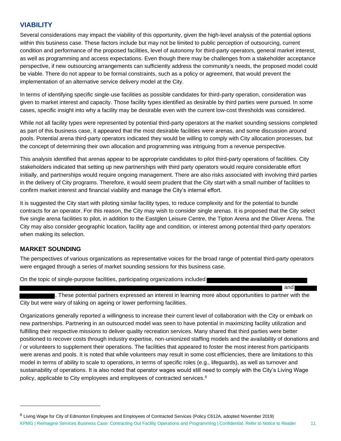# **VIABILITY**

Several considerations may impact the viability of this opportunity, given the high-level analysis of the potential options within this business case. These factors include but may not be limited to public perception of outsourcing, current condition and performance of the proposed facilities, level of autonomy for third-party operators, general market interest, as well as programming and access expectations. Even though there may be challenges from a stakeholder acceptance perspective, if new outsourcing arrangements can sufficiently address the community's needs, the proposed model could be viable. There do not appear to be formal constraints, such as a policy or agreement, that would prevent the implementation of an alternative service delivery model at the City.

In terms of identifying specific single-use facilities as possible candidates for third-party operation, consideration was given to market interest and capacity. Those facility types identified as desirable by third parties were pursued. In some cases, specific insight into why a facility may be desirable even with the current low-cost thresholds was considered.

While not all facility types were represented by potential third-party operators at the market sounding sessions completed as part of this business case, it appeared that the most desirable facilities were arenas, and some discussion around pools. Potential arena third-party operators indicated they would be willing to comply with City allocation processes, but the concept of determining their own allocation and programming was intriguing from a revenue perspective.

This analysis identified that arenas appear to be appropriate candidates to pilot third-party operations of facilities. City stakeholders indicated that setting up new partnerships with third party operators would require considerable effort initially, and partnerships would require ongoing management. There are also risks associated with involving third parties in the delivery of City programs. Therefore, it would seem prudent that the City start with a small number of facilities to confirm market interest and financial viability and manage the City's internal effort.

It is suggested the City start with piloting similar facility types, to reduce complexity and for the potential to bundle contracts for an operator. For this reason, the City may wish to consider single arenas. It is proposed that the City select five single arena facilities to pilot, in addition to the Eastglen Leisure Centre, the Tipton Arena and the Oliver Arena. The City may also consider geographic location, facility age and condition, or interest among potential third-party operators when making its selection.

### **MARKET SOUNDING**

The perspectives of various organizations as representative voices for the broad range of potential third-party operators were engaged through a series of market sounding sessions for this business case.

On the topic of single-purpose facilities, participating organizations included

. These potential partners expressed an interest in learning more about opportunities to partner with the City but were wary of taking on ageing or lower performing facilities.

and

Organizations generally reported a willingness to increase their current level of collaboration with the City or embark on new partnerships. Partnering in an outsourced model was seen to have potential in maximizing facility utilization and fulfilling their respective missions to deliver quality recreation services. Many shared that third parties were better positioned to recover costs through industry expertise, non-unionized staffing models and the availability of donations and / or volunteers to supplement their operations. The facilities that appeared to foster the most interest from participants were arenas and pools. It is noted that while volunteers may result in some cost efficiencies, there are limitations to this model in terms of ability to scale to operations, in terms of specific roles (e.g., lifeguards), as well as turnover and sustainability of operations. It is also noted that operator wages would still need to comply with the City's Living Wage policy, applicable to City employees and employees of contracted services. 8

KPMG | Reimagine Services Business Case: Contracting Out Facility Operations and Programming | Confidential. Refer to Notice to Reader 11 <sup>8</sup> Living Wage for City of Edmonton Employees and Employees of Contracted Services (Policy C612A, adopted November 2019)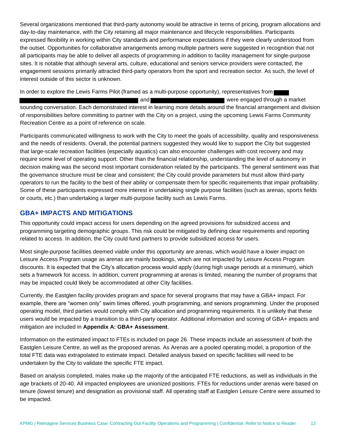Several organizations mentioned that third-party autonomy would be attractive in terms of pricing, program allocations and day-to-day maintenance, with the City retaining all major maintenance and lifecycle responsibilities. Participants expressed flexibility in working within City standards and performance expectations if they were clearly understood from the outset. Opportunities for collaborative arrangements among multiple partners were suggested in recognition that not all participants may be able to deliver all aspects of programming in addition to facility management for single-purpose sites. It is notable that although several arts, culture, educational and seniors service providers were contacted, the engagement sessions primarily attracted third-party operators from the sport and recreation sector. As such, the level of interest outside of this sector is unknown.

In order to explore the Lewis Farms Pilot (framed as a multi-purpose opportunity), representatives from

and a market were engaged through a market sounding conversation. Each demonstrated interest in learning more details around the financial arrangement and division of responsibilities before committing to partner with the City on a project, using the upcoming Lewis Farms Community Recreation Centre as a point of reference on scale.

Participants communicated willingness to work with the City to meet the goals of accessibility, quality and responsiveness and the needs of residents. Overall, the potential partners suggested they would like to support the City but suggested that large-scale recreation facilities (especially aquatics) can also encounter challenges with cost recovery and may require some level of operating support. Other than the financial relationship, understanding the level of autonomy in decision making was the second most important consideration related by the participants. The general sentiment was that the governance structure must be clear and consistent; the City could provide parameters but must allow third-party operators to run the facility to the best of their ability or compensate them for specific requirements that impair profitability. Some of these participants expressed more interest in undertaking single purpose facilities (such as arenas, sports fields or courts, etc.) than undertaking a larger multi-purpose facility such as Lewis Farms.

# **GBA+ IMPACTS AND MITIGATIONS**

This opportunity could impact access for users depending on the agreed provisions for subsidized access and programming targeting demographic groups. This risk could be mitigated by defining clear requirements and reporting related to access. In addition, the City could fund partners to provide subsidized access for users.

Most single-purpose facilities deemed viable under this opportunity are arenas, which would have a lower impact on Leisure Access Program usage as arenas are mainly bookings, which are not impacted by Leisure Access Program discounts. It is expected that the City's allocation process would apply (during high usage periods at a minimum), which sets a framework for access. In addition, current programming at arenas is limited, meaning the number of programs that may be impacted could likely be accommodated at other City facilities.

Currently, the Eastglen facility provides program and space for several programs that may have a GBA+ impact. For example, there are "women only" swim times offered, youth programming, and seniors programming. Under the proposed operating model, third parties would comply with City allocation and programming requirements. It is unlikely that these users would be impacted by a transition to a third-party operator. Additional information and scoring of GBA+ impacts and mitigation are included in **[Appendix A: GBA+ Assessment](#page-20-0)**.

Information on the estimated impact to FTEs is included on page [26.](#page-28-0) These impacts include an assessment of both the Eastglen Leisure Centre, as well as the proposed arenas. As Arenas are a pooled operating model, a proportion of the total FTE data was extrapolated to estimate impact. Detailed analysis based on specific facilities will need to be undertaken by the City to validate the specific FTE impact.

Based on analysis completed, males make up the majority of the anticipated FTE reductions, as well as individuals in the age brackets of 20-40. All impacted employees are unionized positions. FTEs for reductions under arenas were based on tenure (lowest tenure) and designation as provisional staff. All operating staff at Eastglen Leisure Centre were assumed to be impacted.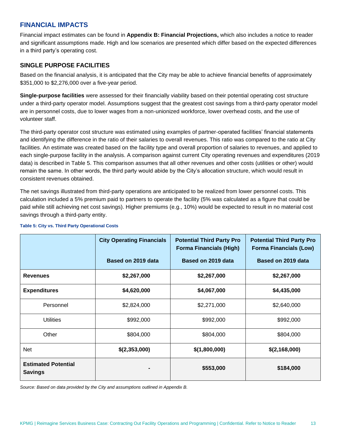# **FINANCIAL IMPACTS**

Financial impact estimates can be found in **[Appendix B: Financial Projections,](#page-23-0)** which also includes a notice to reader and significant assumptions made. High and low scenarios are presented which differ based on the expected differences in a third party's operating cost.

### **SINGLE PURPOSE FACILITIES**

Based on the financial analysis, it is anticipated that the City may be able to achieve financial benefits of approximately \$351,000 to \$2,276,000 over a five-year period.

**Single-purpose facilities** were assessed for their financially viability based on their potential operating cost structure under a third-party operator model. Assumptions suggest that the greatest cost savings from a third-party operator model are in personnel costs, due to lower wages from a non-unionized workforce, lower overhead costs, and the use of volunteer staff.

The third-party operator cost structure was estimated using examples of partner-operated facilities' financial statements and identifying the difference in the ratio of their salaries to overall revenues. This ratio was compared to the ratio at City facilities. An estimate was created based on the facility type and overall proportion of salaries to revenues, and applied to each single-purpose facility in the analysis. A comparison against current City operating revenues and expenditures (2019 data) is described in Table 5. This comparison assumes that all other revenues and other costs (utilities or other) would remain the same. In other words, the third party would abide by the City's allocation structure, which would result in consistent revenues obtained.

The net savings illustrated from third-party operations are anticipated to be realized from lower personnel costs. This calculation included a 5% premium paid to partners to operate the facility (5% was calculated as a figure that could be paid while still achieving net cost savings). Higher premiums (e.g., 10%) would be expected to result in no material cost savings through a third-party entity.

|                                              | <b>City Operating Financials</b> | <b>Potential Third Party Pro</b><br><b>Forma Financials (High)</b> | <b>Potential Third Party Pro</b><br><b>Forma Financials (Low)</b> |
|----------------------------------------------|----------------------------------|--------------------------------------------------------------------|-------------------------------------------------------------------|
|                                              | Based on 2019 data               | Based on 2019 data                                                 | Based on 2019 data                                                |
| <b>Revenues</b>                              | \$2,267,000                      | \$2,267,000                                                        | \$2,267,000                                                       |
| <b>Expenditures</b>                          | \$4,620,000                      | \$4,067,000                                                        | \$4,435,000                                                       |
| Personnel                                    | \$2,824,000                      | \$2,271,000                                                        | \$2,640,000                                                       |
| <b>Utilities</b>                             | \$992,000                        | \$992,000                                                          | \$992,000                                                         |
| Other                                        | \$804,000                        | \$804,000                                                          | \$804,000                                                         |
| <b>Net</b>                                   | \$(2,353,000)                    | \$(1,800,000)                                                      | \$(2,168,000)                                                     |
| <b>Estimated Potential</b><br><b>Savings</b> |                                  | \$553,000                                                          | \$184,000                                                         |

#### **Table 5: City vs. Third Party Operational Costs**

*Source: Based on data provided by the City and assumptions outlined in Appendix B.*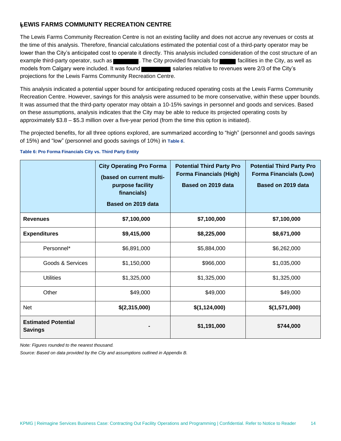# **LEWIS FARMS COMMUNITY RECREATION CENTRE**

The Lewis Farms Community Recreation Centre is not an existing facility and does not accrue any revenues or costs at the time of this analysis. Therefore, financial calculations estimated the potential cost of a third-party operator may be lower than the City's anticipated cost to operate it directly. This analysis included consideration of the cost structure of an example third-party operator, such as . The City provided financials for **Facilities in the City, as well as** models from Calgary were included. It was found salaries relative to revenues were 2/3 of the City's projections for the Lewis Farms Community Recreation Centre.

This analysis indicated a potential upper bound for anticipating reduced operating costs at the Lewis Farms Community Recreation Centre. However, savings for this analysis were assumed to be more conservative, within these upper bounds. It was assumed that the third-party operator may obtain a 10-15% savings in personnel and goods and services. Based on these assumptions, analysis indicates that the City may be able to reduce its projected operating costs by approximately \$3.8 – \$5.3 million over a five-year period (from the time this option is initiated).

The projected benefits, for all three options explored, are summarized according to "high" (personnel and goods savings of 15%) and "low" (personnel and goods savings of 10%) in **[Table](#page-16-0)** *6*.

<span id="page-16-0"></span>**Table 6: Pro Forma Financials City vs. Third Party Entity**

|                                              | <b>City Operating Pro Forma</b><br>(based on current multi-<br>purpose facility<br>financials)<br>Based on 2019 data | <b>Potential Third Party Pro</b><br><b>Forma Financials (High)</b><br>Based on 2019 data | <b>Potential Third Party Pro</b><br><b>Forma Financials (Low)</b><br>Based on 2019 data |
|----------------------------------------------|----------------------------------------------------------------------------------------------------------------------|------------------------------------------------------------------------------------------|-----------------------------------------------------------------------------------------|
| <b>Revenues</b>                              | \$7,100,000                                                                                                          | \$7,100,000                                                                              | \$7,100,000                                                                             |
| <b>Expenditures</b>                          | \$9,415,000                                                                                                          | \$8,225,000                                                                              | \$8,671,000                                                                             |
| Personnel*                                   | \$6,891,000                                                                                                          | \$5,884,000                                                                              | \$6,262,000                                                                             |
| Goods & Services                             | \$1,150,000                                                                                                          | \$966,000                                                                                | \$1,035,000                                                                             |
| <b>Utilities</b>                             | \$1,325,000                                                                                                          | \$1,325,000                                                                              | \$1,325,000                                                                             |
| Other                                        | \$49,000                                                                                                             | \$49,000                                                                                 | \$49,000                                                                                |
| <b>Net</b>                                   | \$(2,315,000)                                                                                                        | \$(1,124,000)                                                                            | \$(1,571,000)                                                                           |
| <b>Estimated Potential</b><br><b>Savings</b> |                                                                                                                      | \$1,191,000                                                                              | \$744,000                                                                               |

*Note: Figures rounded to the nearest thousand.* 

*Source: Based on data provided by the City and assumptions outlined in Appendix B.*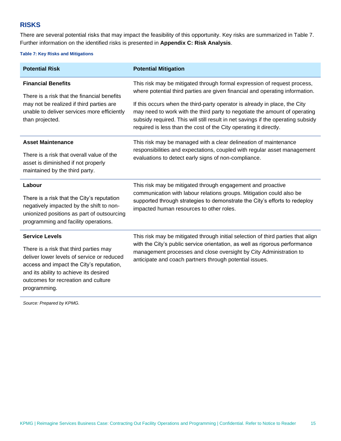# **RISKS**

There are several potential risks that may impact the feasibility of this opportunity. Key risks are summarized in [Table 7.](#page-17-0) Further information on the identified risks is presented in **[Appendix C: Risk Analysis](#page-30-0)**.

#### <span id="page-17-0"></span>**Table 7: Key Risks and Mitigations**

| <b>Potential Risk</b>                                                                                                                                                                                             | <b>Potential Mitigation</b>                                                                                                                                                                                                                                                                                       |  |  |  |  |
|-------------------------------------------------------------------------------------------------------------------------------------------------------------------------------------------------------------------|-------------------------------------------------------------------------------------------------------------------------------------------------------------------------------------------------------------------------------------------------------------------------------------------------------------------|--|--|--|--|
| <b>Financial Benefits</b><br>There is a risk that the financial benefits                                                                                                                                          | This risk may be mitigated through formal expression of request process,<br>where potential third parties are given financial and operating information.                                                                                                                                                          |  |  |  |  |
| may not be realized if third parties are<br>unable to deliver services more efficiently<br>than projected.                                                                                                        | If this occurs when the third-party operator is already in place, the City<br>may need to work with the third party to negotiate the amount of operating<br>subsidy required. This will still result in net savings if the operating subsidy<br>required is less than the cost of the City operating it directly. |  |  |  |  |
| <b>Asset Maintenance</b>                                                                                                                                                                                          | This risk may be managed with a clear delineation of maintenance<br>responsibilities and expectations, coupled with regular asset management                                                                                                                                                                      |  |  |  |  |
| There is a risk that overall value of the<br>asset is diminished if not properly<br>maintained by the third party.                                                                                                | evaluations to detect early signs of non-compliance.                                                                                                                                                                                                                                                              |  |  |  |  |
| Labour                                                                                                                                                                                                            | This risk may be mitigated through engagement and proactive<br>communication with labour relations groups. Mitigation could also be                                                                                                                                                                               |  |  |  |  |
| There is a risk that the City's reputation<br>negatively impacted by the shift to non-<br>unionized positions as part of outsourcing<br>programming and facility operations.                                      | supported through strategies to demonstrate the City's efforts to redeploy<br>impacted human resources to other roles.                                                                                                                                                                                            |  |  |  |  |
| <b>Service Levels</b>                                                                                                                                                                                             | This risk may be mitigated through initial selection of third parties that align                                                                                                                                                                                                                                  |  |  |  |  |
| There is a risk that third parties may<br>deliver lower levels of service or reduced<br>access and impact the City's reputation,<br>and its ability to achieve its desired<br>outcomes for recreation and culture | with the City's public service orientation, as well as rigorous performance<br>management processes and close oversight by City Administration to<br>anticipate and coach partners through potential issues.                                                                                                      |  |  |  |  |

*Source: Prepared by KPMG.*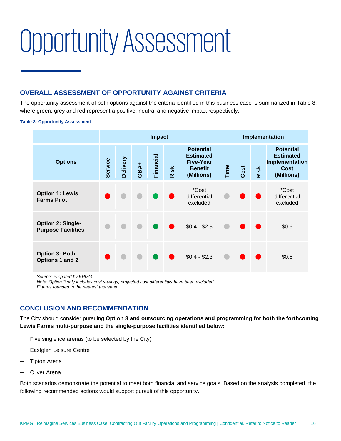# <span id="page-18-0"></span>Opportunity Assessment

# **OVERALL ASSESSMENT OF OPPORTUNITY AGAINST CRITERIA**

The opportunity assessment of both options against the criteria identified in this business case is summarized in [Table 8,](#page-18-1) where green, grey and red represent a positive, neutral and negative impact respectively.

#### <span id="page-18-1"></span>**Table 8: Opportunity Assessment**

|                                                       | <b>Impact</b> |          |      |           |      | Implementation                                                                           |      |      |      |                                                                                     |
|-------------------------------------------------------|---------------|----------|------|-----------|------|------------------------------------------------------------------------------------------|------|------|------|-------------------------------------------------------------------------------------|
| <b>Options</b>                                        | Service       | Delivery | GBA+ | Financial | Risk | <b>Potential</b><br><b>Estimated</b><br><b>Five-Year</b><br><b>Benefit</b><br>(Millions) | Time | Cost | Risk | <b>Potential</b><br><b>Estimated</b><br>Implementation<br><b>Cost</b><br>(Millions) |
| <b>Option 1: Lewis</b><br><b>Farms Pilot</b>          |               |          |      |           |      | *Cost<br>differential<br>excluded                                                        |      |      |      | *Cost<br>differential<br>excluded                                                   |
| <b>Option 2: Single-</b><br><b>Purpose Facilities</b> |               |          |      |           |      | $$0.4 - $2.3$$                                                                           |      |      |      | \$0.6                                                                               |
| <b>Option 3: Both</b><br>Options 1 and 2              |               |          |      |           |      | $$0.4 - $2.3$$                                                                           |      |      |      | \$0.6                                                                               |

*Source: Prepared by KPMG.*

*Note: Option 3 only includes cost savings; projected cost differentials have been excluded. Figures rounded to the nearest thousand.* 

# **CONCLUSION AND RECOMMENDATION**

The City should consider pursuing **Option 3 and outsourcing operations and programming for both the forthcoming Lewis Farms multi-purpose and the single-purpose facilities identified below:**

- ‒ Five single ice arenas (to be selected by the City)
- ‒ Eastglen Leisure Centre
- ‒ Tipton Arena
- ‒ Oliver Arena

Both scenarios demonstrate the potential to meet both financial and service goals. Based on the analysis completed, the following recommended actions would support pursuit of this opportunity.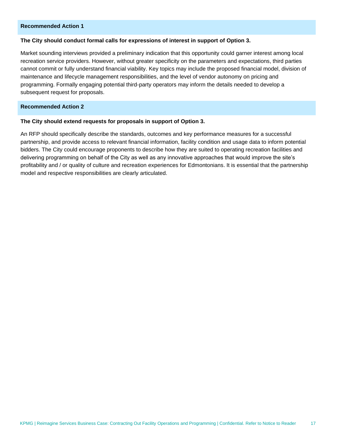#### **Recommended Action 1**

#### **The City should conduct formal calls for expressions of interest in support of Option 3.**

Market sounding interviews provided a preliminary indication that this opportunity could garner interest among local recreation service providers. However, without greater specificity on the parameters and expectations, third parties cannot commit or fully understand financial viability. Key topics may include the proposed financial model, division of maintenance and lifecycle management responsibilities, and the level of vendor autonomy on pricing and programming. Formally engaging potential third-party operators may inform the details needed to develop a subsequent request for proposals.

#### **Recommended Action 2**

#### **The City should extend requests for proposals in support of Option 3.**

An RFP should specifically describe the standards, outcomes and key performance measures for a successful partnership, and provide access to relevant financial information, facility condition and usage data to inform potential bidders. The City could encourage proponents to describe how they are suited to operating recreation facilities and delivering programming on behalf of the City as well as any innovative approaches that would improve the site's profitability and / or quality of culture and recreation experiences for Edmontonians. It is essential that the partnership model and respective responsibilities are clearly articulated.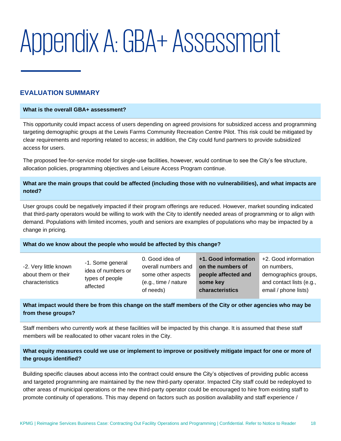# <span id="page-20-0"></span>Appendix A: GBA+ Assessment

# **EVALUATION SUMMARY**

#### **What is the overall GBA+ assessment?**

This opportunity could impact access of users depending on agreed provisions for subsidized access and programming targeting demographic groups at the Lewis Farms Community Recreation Centre Pilot. This risk could be mitigated by clear requirements and reporting related to access; in addition, the City could fund partners to provide subsidized access for users.

The proposed fee-for-service model for single-use facilities, however, would continue to see the City's fee structure, allocation policies, programming objectives and Leisure Access Program continue.

### **What are the main groups that could be affected (including those with no vulnerabilities), and what impacts are noted?**

User groups could be negatively impacted if their program offerings are reduced. However, market sounding indicated that third-party operators would be willing to work with the City to identify needed areas of programming or to align with demand. Populations with limited incomes, youth and seniors are examples of populations who may be impacted by a change in pricing.

#### **What do we know about the people who would be affected by this change?**

### **What impact would there be from this change on the staff members of the City or other agencies who may be from these groups?**

Staff members who currently work at these facilities will be impacted by this change. It is assumed that these staff members will be reallocated to other vacant roles in the City.

### **What equity measures could we use or implement to improve or positively mitigate impact for one or more of the groups identified?**

Building specific clauses about access into the contract could ensure the City's objectives of providing public access and targeted programming are maintained by the new third-party operator. Impacted City staff could be redeployed to other areas of municipal operations or the new third-party operator could be encouraged to hire from existing staff to promote continuity of operations. This may depend on factors such as position availability and staff experience /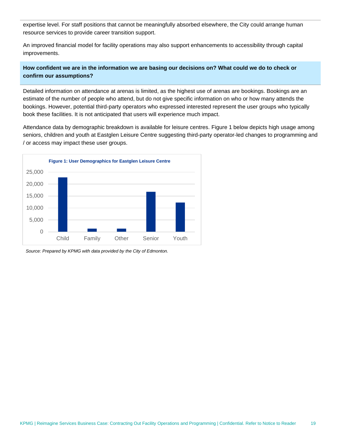expertise level. For staff positions that cannot be meaningfully absorbed elsewhere, the City could arrange human resource services to provide career transition support.

An improved financial model for facility operations may also support enhancements to accessibility through capital improvements.

### **How confident we are in the information we are basing our decisions on? What could we do to check or confirm our assumptions?**

Detailed information on attendance at arenas is limited, as the highest use of arenas are bookings. Bookings are an estimate of the number of people who attend, but do not give specific information on who or how many attends the bookings. However, potential third-party operators who expressed interested represent the user groups who typically book these facilities. It is not anticipated that users will experience much impact.

Attendance data by demographic breakdown is available for leisure centres. [Figure 1](#page-21-0) below depicts high usage among seniors, children and youth at Eastglen Leisure Centre suggesting third-party operator-led changes to programming and / or access may impact these user groups.

<span id="page-21-0"></span>

*Source: Prepared by KPMG with data provided by the City of Edmonton.*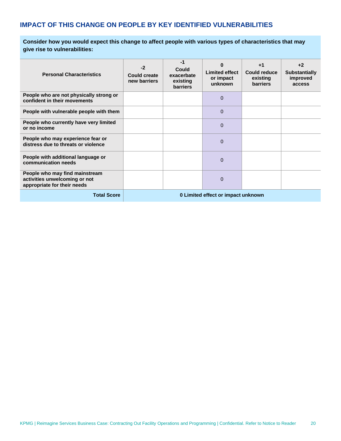# **IMPACT OF THIS CHANGE ON PEOPLE BY KEY IDENTIFIED VULNERABILITIES**

**Consider how you would expect this change to affect people with various types of characteristics that may give rise to vulnerabilities:** 

| <b>Personal Characteristics</b>                                                                | $-2$<br>Could create<br>new barriers | -1<br>Could<br>exacerbate<br>existing<br><b>barriers</b> | Ω<br><b>Limited effect</b><br>or impact<br>unknown | $+1$<br>Could reduce<br>existing<br><b>barriers</b> | $+2$<br><b>Substantially</b><br>improved<br>access |
|------------------------------------------------------------------------------------------------|--------------------------------------|----------------------------------------------------------|----------------------------------------------------|-----------------------------------------------------|----------------------------------------------------|
| People who are not physically strong or<br>confident in their movements                        |                                      |                                                          | $\Omega$                                           |                                                     |                                                    |
| People with vulnerable people with them                                                        |                                      |                                                          | 0                                                  |                                                     |                                                    |
| People who currently have very limited<br>or no income                                         |                                      |                                                          | 0                                                  |                                                     |                                                    |
| People who may experience fear or<br>distress due to threats or violence                       |                                      |                                                          | 0                                                  |                                                     |                                                    |
| People with additional language or<br>communication needs                                      |                                      |                                                          | 0                                                  |                                                     |                                                    |
| People who may find mainstream<br>activities unwelcoming or not<br>appropriate for their needs |                                      |                                                          | $\mathbf{0}$                                       |                                                     |                                                    |
| <b>Total Score</b>                                                                             | 0 Limited effect or impact unknown   |                                                          |                                                    |                                                     |                                                    |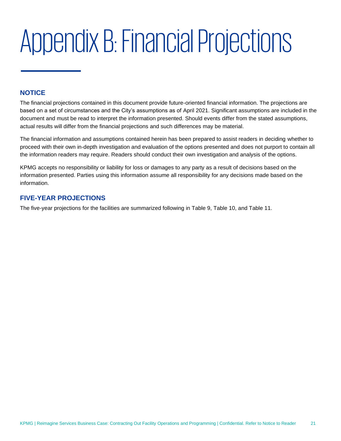# <span id="page-23-0"></span>Appendix B: Financial Projections

# **NOTICE**

The financial projections contained in this document provide future-oriented financial information. The projections are based on a set of circumstances and the City's assumptions as of April 2021. Significant assumptions are included in the document and must be read to interpret the information presented. Should events differ from the stated assumptions, actual results will differ from the financial projections and such differences may be material.

The financial information and assumptions contained herein has been prepared to assist readers in deciding whether to proceed with their own in-depth investigation and evaluation of the options presented and does not purport to contain all the information readers may require. Readers should conduct their own investigation and analysis of the options.

KPMG accepts no responsibility or liability for loss or damages to any party as a result of decisions based on the information presented. Parties using this information assume all responsibility for any decisions made based on the information.

# **FIVE-YEAR PROJECTIONS**

The five-year projections for the facilities are summarized following in [Table 9,](#page-24-0) [Table 10,](#page-25-0) and [Table 11.](#page-25-1)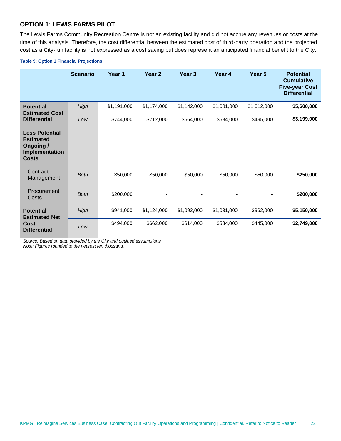### **OPTION 1: LEWIS FARMS PILOT**

The Lewis Farms Community Recreation Centre is not an existing facility and did not accrue any revenues or costs at the time of this analysis. Therefore, the cost differential between the estimated cost of third-party operation and the projected cost as a City-run facility is not expressed as a cost saving but does represent an anticipated financial benefit to the City.

#### <span id="page-24-0"></span>**Table 9: Option 1 Financial Projections**

|                                                                                         | <b>Scenario</b> | Year 1      | Year <sub>2</sub>        | Year <sub>3</sub> | Year 4      | Year <sub>5</sub> | <b>Potential</b><br><b>Cumulative</b><br><b>Five-year Cost</b><br><b>Differential</b> |
|-----------------------------------------------------------------------------------------|-----------------|-------------|--------------------------|-------------------|-------------|-------------------|---------------------------------------------------------------------------------------|
| <b>Potential</b><br><b>Estimated Cost</b>                                               | High            | \$1,191,000 | \$1,174,000              | \$1,142,000       | \$1,081,000 | \$1,012,000       | \$5,600,000                                                                           |
| <b>Differential</b>                                                                     | Low             | \$744,000   | \$712,000                | \$664,000         | \$584,000   | \$495,000         | \$3,199,000                                                                           |
| <b>Less Potential</b><br><b>Estimated</b><br>Ongoing/<br>Implementation<br><b>Costs</b> |                 |             |                          |                   |             |                   |                                                                                       |
| Contract<br>Management                                                                  | <b>Both</b>     | \$50,000    | \$50,000                 | \$50,000          | \$50,000    | \$50,000          | \$250,000                                                                             |
| Procurement<br>Costs                                                                    | <b>Both</b>     | \$200,000   | $\overline{\phantom{a}}$ |                   |             | -                 | \$200,000                                                                             |
| <b>Potential</b><br><b>Estimated Net</b>                                                | High            | \$941,000   | \$1,124,000              | \$1,092,000       | \$1,031,000 | \$962,000         | \$5,150,000                                                                           |
| <b>Cost</b><br><b>Differential</b>                                                      | Low             | \$494,000   | \$662,000                | \$614,000         | \$534,000   | \$445,000         | \$2,749,000                                                                           |

*Source: Based on data provided by the City and outlined assumptions. Note: Figures rounded to the nearest ten thousand.*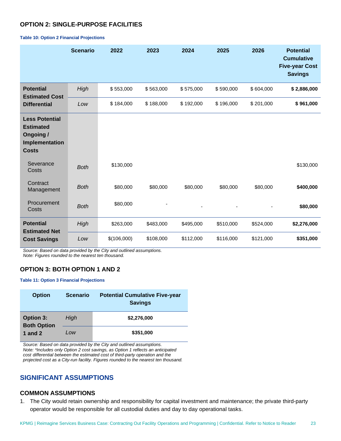# **OPTION 2: SINGLE-PURPOSE FACILITIES**

|                                                                                                 | <b>Scenario</b> | 2022        | 2023      | 2024      | 2025      | 2026      | <b>Potential</b><br><b>Cumulative</b><br><b>Five-year Cost</b><br><b>Savings</b> |
|-------------------------------------------------------------------------------------------------|-----------------|-------------|-----------|-----------|-----------|-----------|----------------------------------------------------------------------------------|
| <b>Potential</b><br><b>Estimated Cost</b>                                                       | High            | \$553,000   | \$563,000 | \$575,000 | \$590,000 | \$604,000 | \$2,886,000                                                                      |
| <b>Differential</b>                                                                             | Low             | \$184,000   | \$188,000 | \$192,000 | \$196,000 | \$201,000 | \$961,000                                                                        |
| <b>Less Potential</b><br><b>Estimated</b><br><b>Ongoing /</b><br>Implementation<br><b>Costs</b> |                 |             |           |           |           |           |                                                                                  |
| Severance<br>Costs                                                                              | <b>Both</b>     | \$130,000   |           |           |           |           | \$130,000                                                                        |
| Contract<br>Management                                                                          | <b>Both</b>     | \$80,000    | \$80,000  | \$80,000  | \$80,000  | \$80,000  | \$400,000                                                                        |
| Procurement<br>Costs                                                                            | <b>Both</b>     | \$80,000    |           |           |           |           | \$80,000                                                                         |
| <b>Potential</b><br><b>Estimated Net</b>                                                        | High            | \$263,000   | \$483,000 | \$495,000 | \$510,000 | \$524,000 | \$2,276,000                                                                      |
| <b>Cost Savings</b>                                                                             | Low             | \$(106,000) | \$108,000 | \$112,000 | \$116,000 | \$121,000 | \$351,000                                                                        |

#### <span id="page-25-0"></span>**Table 10: Option 2 Financial Projections**

*Source: Based on data provided by the City and outlined assumptions. Note: Figures rounded to the nearest ten thousand.*

### **OPTION 3: BOTH OPTION 1 AND 2**

#### <span id="page-25-1"></span>**Table 11: Option 3 Financial Projections**

| <b>Option</b>                                       | <b>Scenario</b> | <b>Potential Cumulative Five-year</b><br><b>Savings</b> |
|-----------------------------------------------------|-----------------|---------------------------------------------------------|
| <b>Option 3:</b><br><b>Both Option</b><br>1 and $2$ | High            | \$2,276,000                                             |
|                                                     | Low             | \$351,000                                               |

*Source: Based on data provided by the City and outlined assumptions. Note: \*Includes only Option 2 cost savings, as Option 1 reflects an anticipated cost differential between the estimated cost of third-party operation and the projected cost as a City-run facility. Figures rounded to the nearest ten thousand.*

# **SIGNIFICANT ASSUMPTIONS**

# **COMMON ASSUMPTIONS**

1. The City would retain ownership and responsibility for capital investment and maintenance; the private third-party operator would be responsible for all custodial duties and day to day operational tasks.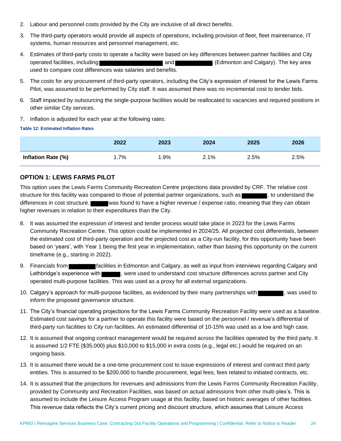- 2. Labour and personnel costs provided by the City are inclusive of all direct benefits.
- 3. The third-party operators would provide all aspects of operations, including provision of fleet, fleet maintenance, IT systems, human resources and personnel management, etc.
- 4. Estimates of third-party costs to operate a facility were based on key differences between partner facilities and City operated facilities, including **and and and and Calgary** (Edmonton and Calgary). The key area used to compare cost differences was salaries and benefits.
- 5. The costs for any procurement of third-party operators, including the City's expression of interest for the Lewis Farms Pilot, was assumed to be performed by City staff. It was assumed there was no incremental cost to tender bids.
- 6. Staff impacted by outsourcing the single-purpose facilities would be reallocated to vacancies and required positions in other similar City services.
- 7. Inflation is adjusted for each year at the following rates:

#### **Table 12: Estimated Inflation Rates**

|                    | 2022 | 2023 | 2024 | 2025 | 2026 |
|--------------------|------|------|------|------|------|
| Inflation Rate (%) | .7%  | .9%  | 2.1% | 2.5% | 2.5% |

# **OPTION 1: LEWIS FARMS PILOT**

This option uses the Lewis Farms Community Recreation Centre projections data provided by CRF. The relative cost structure for this facility was compared to those of potential partner organizations, such as , to understand the differences in cost structure. was found to have a higher revenue / expense ratio, meaning that they can obtain higher revenues in relation to their expenditures than the City.

- 8. It was assumed the expression of interest and tender process would take place in 2023 for the Lewis Farms Community Recreation Centre. This option could be implemented in 2024/25. All projected cost differentials, between the estimated cost of third-party operation and the projected cost as a City-run facility, for this opportunity have been based on 'years', with Year 1 being the first year in implementation, rather than basing this opportunity on the current timeframe (e.g., starting in 2022).
- 9. Financials from facilities in Edmonton and Calgary, as well as input from interviews regarding Calgary and Lethbridge's experience with , were used to understand cost structure differences across partner and City operated multi-purpose facilities. This was used as a proxy for all external organizations.
- 10. Calgary's approach for multi-purpose facilities, as evidenced by their many partnerships with  $\blacksquare$ , was used to inform the proposed governance structure.
- 11. The City's financial operating projections for the Lewis Farms Community Recreation Facility were used as a baseline. Estimated cost savings for a partner to operate this facility were based on the personnel / revenue's differential of third-party run facilities to City run facilities. An estimated differential of 10-15% was used as a low and high case.
- 12. It is assumed that ongoing contract management would be required across the facilities operated by the third party. It is assumed 1/2 FTE (\$35,000) plus \$10,000 to \$15,000 in extra costs (e.g., legal etc.) would be required on an ongoing basis.
- 13. It is assumed there would be a one-time procurement cost to issue expressions of interest and contract third party entities. This is assumed to be \$200,000 to handle procurement, legal fees, fees related to initiated contracts, etc.
- 14. It is assumed that the projections for revenues and admissions from the Lewis Farms Community Recreation Facility, provided by Community and Recreation Facilities, was based on actual admissions from other multi-plex's. This is assumed to include the Leisure Access Program usage at this facility, based on historic averages of other facilities. This revenue data reflects the City's current pricing and discount structure, which assumes that Leisure Access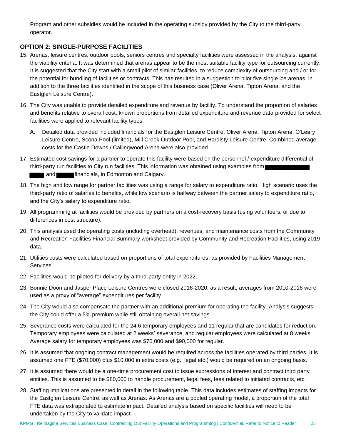Program and other subsidies would be included in the operating subsidy provided by the City to the third-party operator.

# **OPTION 2: SINGLE-PURPOSE FACILITIES**

- 15. Arenas, leisure centres, outdoor pools, seniors centres and specialty facilities were assessed in the analysis, against the viability criteria. It was determined that arenas appear to be the most suitable facility type for outsourcing currently. It is suggested that the City start with a small pilot of similar facilities, to reduce complexity of outsourcing and / or for the potential for bundling of facilities or contracts. This has resulted in a suggestion to pilot five single ice arenas, in addition to the three facilities identified in the scope of this business case (Oliver Arena, Tipton Arena, and the Eastglen Leisure Centre).
- 16. The City was unable to provide detailed expenditure and revenue by facility. To understand the proportion of salaries and benefits relative to overall cost, known proportions from detailed expenditure and revenue data provided for select facilities were applied to relevant facility types.
	- A. Detailed data provided included financials for the Eastglen Leisure Centre, Oliver Arena, Tipton Arena, O'Leary Leisure Centre, Scona Pool (limited), Mill Creek Outdoor Pool, and Hardisty Leisure Centre. Combined average costs for the Castle Downs / Callingwood Arena were also provided.
- 17. Estimated cost savings for a partner to operate this facility were based on the personnel / expenditure differential of third-party run facilities to City run facilities. This information was obtained using examples from and **financials, in Edmonton and Calgary.**
- 18. The high and low range for partner facilities was using a range for salary to expenditure ratio. High scenario uses the third-party ratio of salaries to benefits, while low scenario is halfway between the partner salary to expenditure ratio, and the City's salary to expenditure ratio.
- 19. All programming at facilities would be provided by partners on a cost-recovery basis (using volunteers, or due to differences in cost structure).
- 20. This analysis used the operating costs (including overhead), revenues, and maintenance costs from the Community and Recreation Facilities Financial Summary worksheet provided by Community and Recreation Facilities, using 2019 data.
- 21. Utilities costs were calculated based on proportions of total expenditures, as provided by Facilities Management Services.
- 22. Facilities would be piloted for delivery by a third-party entity in 2022.
- 23. Bonnie Doon and Jasper Place Leisure Centres were closed 2016-2020; as a result, averages from 2010-2016 were used as a proxy of "average" expenditures per facility.
- 24. The City would also compensate the partner with an additional premium for operating the facility. Analysis suggests the City could offer a 5% premium while still obtaining overall net savings.
- 25. Severance costs were calculated for the 24.6 temporary employees and 11 regular that are candidates for reduction. Temporary employees were calculated at 2 weeks' severance, and regular employees were calculated at 8 weeks. Average salary for temporary employees was \$76,000 and \$90,000 for regular.
- 26. It is assumed that ongoing contract management would be required across the facilities operated by third parties. It is assumed one FTE (\$70,000) plus \$10,000 in extra costs (e.g., legal etc.) would be required on an ongoing basis.
- 27. It is assumed there would be a one-time procurement cost to issue expressions of interest and contract third party entities. This is assumed to be \$80,000 to handle procurement, legal fees, fees related to initiated contracts, etc.
- 28. Staffing implications are presented in detail in the following table. This data includes estimates of staffing impacts for the Eastglen Leisure Centre, as well as Arenas. As Arenas are a pooled operating model, a proportion of the total FTE data was extrapolated to estimate impact. Detailed analysis based on specific facilities will need to be undertaken by the City to validate impact.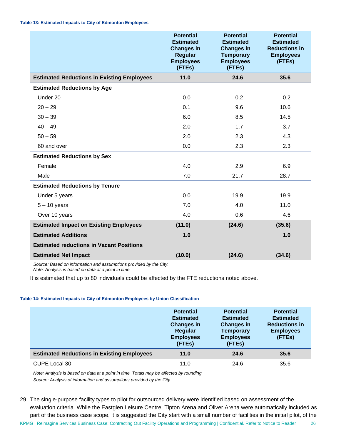<span id="page-28-0"></span>

|                                                   | <b>Potential</b><br><b>Estimated</b><br><b>Changes in</b><br><b>Regular</b><br><b>Employees</b><br>(FTEs) | <b>Potential</b><br><b>Estimated</b><br><b>Changes in</b><br><b>Temporary</b><br><b>Employees</b><br>(FTEs) | <b>Potential</b><br><b>Estimated</b><br><b>Reductions in</b><br><b>Employees</b><br>(FTEs) |
|---------------------------------------------------|-----------------------------------------------------------------------------------------------------------|-------------------------------------------------------------------------------------------------------------|--------------------------------------------------------------------------------------------|
| <b>Estimated Reductions in Existing Employees</b> | 11.0                                                                                                      | 24.6                                                                                                        | 35.6                                                                                       |
| <b>Estimated Reductions by Age</b>                |                                                                                                           |                                                                                                             |                                                                                            |
| Under 20                                          | 0.0                                                                                                       | 0.2                                                                                                         | 0.2                                                                                        |
| $20 - 29$                                         | 0.1                                                                                                       | 9.6                                                                                                         | 10.6                                                                                       |
| $30 - 39$                                         | 6.0                                                                                                       | 8.5                                                                                                         | 14.5                                                                                       |
| $40 - 49$                                         | 2.0                                                                                                       | 1.7                                                                                                         | 3.7                                                                                        |
| $50 - 59$                                         | 2.0                                                                                                       | 2.3                                                                                                         | 4.3                                                                                        |
| 60 and over                                       | 0.0                                                                                                       | 2.3                                                                                                         | 2.3                                                                                        |
| <b>Estimated Reductions by Sex</b>                |                                                                                                           |                                                                                                             |                                                                                            |
| Female                                            | 4.0                                                                                                       | 2.9                                                                                                         | 6.9                                                                                        |
| Male                                              | 7.0                                                                                                       | 21.7                                                                                                        | 28.7                                                                                       |
| <b>Estimated Reductions by Tenure</b>             |                                                                                                           |                                                                                                             |                                                                                            |
| Under 5 years                                     | 0.0                                                                                                       | 19.9                                                                                                        | 19.9                                                                                       |
| $5 - 10$ years                                    | 7.0                                                                                                       | 4.0                                                                                                         | 11.0                                                                                       |
| Over 10 years                                     | 4.0                                                                                                       | 0.6                                                                                                         | 4.6                                                                                        |
| <b>Estimated Impact on Existing Employees</b>     | (11.0)                                                                                                    | (24.6)                                                                                                      | (35.6)                                                                                     |
| <b>Estimated Additions</b>                        | 1.0                                                                                                       |                                                                                                             | 1.0                                                                                        |
| <b>Estimated reductions in Vacant Positions</b>   |                                                                                                           |                                                                                                             |                                                                                            |
| <b>Estimated Net Impact</b>                       | (10.0)                                                                                                    | (24.6)                                                                                                      | (34.6)                                                                                     |

*Source: Based on information and assumptions provided by the City. Note: Analysis is based on data at a point in time.*

It is estimated that up to 80 individuals could be affected by the FTE reductions noted above.

#### **Table 14: Estimated Impacts to City of Edmonton Employees by Union Classification**

|                                                   | <b>Potential</b><br><b>Estimated</b><br><b>Changes in</b><br>Regular<br><b>Employees</b><br>(FTEs) | <b>Potential</b><br><b>Estimated</b><br><b>Changes in</b><br><b>Temporary</b><br><b>Employees</b><br>(FTEs) | <b>Potential</b><br><b>Estimated</b><br><b>Reductions in</b><br><b>Employees</b><br>(FTEs) |
|---------------------------------------------------|----------------------------------------------------------------------------------------------------|-------------------------------------------------------------------------------------------------------------|--------------------------------------------------------------------------------------------|
| <b>Estimated Reductions in Existing Employees</b> | 11.0                                                                                               | 24.6                                                                                                        | 35.6                                                                                       |
| CUPE Local 30                                     | 11.0                                                                                               | 24.6                                                                                                        | 35.6                                                                                       |

*Note: Analysis is based on data at a point in time. Totals may be affected by rounding.*

*Source: Analysis of information and assumptions provided by the City.*

KPMG | Reimagine Services Business Case: Contracting Out Facility Operations and Programming | Confidential. Refer to Notice to Reader 26 29. The single-purpose facility types to pilot for outsourced delivery were identified based on assessment of the evaluation criteria. While the Eastglen Leisure Centre, Tipton Arena and Oliver Arena were automatically included as part of the business case scope, it is suggested the City start with a small number of facilities in the initial pilot, of the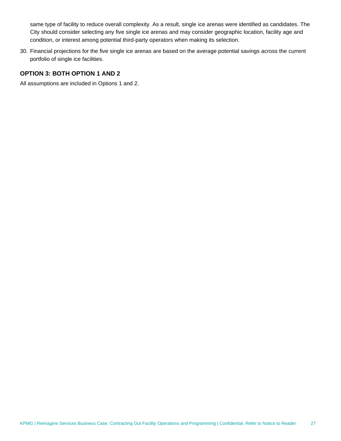same type of facility to reduce overall complexity. As a result, single ice arenas were identified as candidates. The City should consider selecting any five single ice arenas and may consider geographic location, facility age and condition, or interest among potential third-party operators when making its selection.

30. Financial projections for the five single ice arenas are based on the average potential savings across the current portfolio of single ice facilities.

# **OPTION 3: BOTH OPTION 1 AND 2**

All assumptions are included in Options 1 and 2.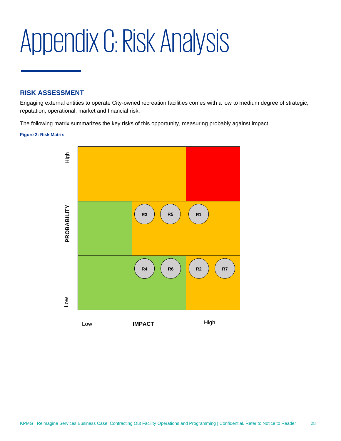# <span id="page-30-0"></span>Appendix C: Risk Analysis

# **RISK ASSESSMENT**

Engaging external entities to operate City-owned recreation facilities comes with a low to medium degree of strategic, reputation, operational, market and financial risk.

The following matrix summarizes the key risks of this opportunity, measuring probably against impact.

#### **Figure 2: Risk Matrix**

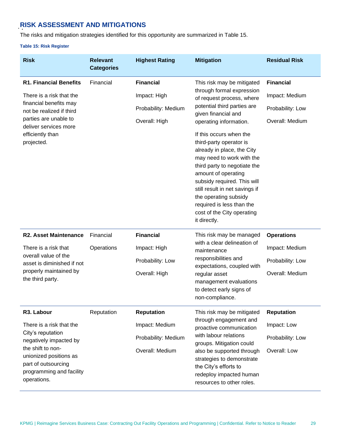# **RISK ASSESSMENT AND MITIGATIONS**

The risks and mitigation strategies identified for this opportunity are summarized in [Table 15.](#page-31-0)

#### <span id="page-31-0"></span>**Table 15: Risk Register**

| <b>Risk</b>                                                                                                                                                                                            | <b>Relevant</b><br><b>Categories</b> | <b>Highest Rating</b>                                                         | <b>Mitigation</b>                                                                                                                                                                                                                                                                                                                                                                                                                                                                                                 | <b>Residual Risk</b>                                                       |
|--------------------------------------------------------------------------------------------------------------------------------------------------------------------------------------------------------|--------------------------------------|-------------------------------------------------------------------------------|-------------------------------------------------------------------------------------------------------------------------------------------------------------------------------------------------------------------------------------------------------------------------------------------------------------------------------------------------------------------------------------------------------------------------------------------------------------------------------------------------------------------|----------------------------------------------------------------------------|
| <b>R1. Financial Benefits</b><br>There is a risk that the<br>financial benefits may<br>not be realized if third<br>parties are unable to<br>deliver services more<br>efficiently than<br>projected.    | Financial                            | <b>Financial</b><br>Impact: High<br>Probability: Medium<br>Overall: High      | This risk may be mitigated<br>through formal expression<br>of request process, where<br>potential third parties are<br>given financial and<br>operating information.<br>If this occurs when the<br>third-party operator is<br>already in place, the City<br>may need to work with the<br>third party to negotiate the<br>amount of operating<br>subsidy required. This will<br>still result in net savings if<br>the operating subsidy<br>required is less than the<br>cost of the City operating<br>it directly. | <b>Financial</b><br>Impact: Medium<br>Probability: Low<br>Overall: Medium  |
| <b>R2. Asset Maintenance</b><br>There is a risk that<br>overall value of the<br>asset is diminished if not<br>properly maintained by<br>the third party.                                               | Financial<br>Operations              | <b>Financial</b><br>Impact: High<br>Probability: Low<br>Overall: High         | This risk may be managed<br>with a clear delineation of<br>maintenance<br>responsibilities and<br>expectations, coupled with<br>regular asset<br>management evaluations<br>to detect early signs of<br>non-compliance.                                                                                                                                                                                                                                                                                            | <b>Operations</b><br>Impact: Medium<br>Probability: Low<br>Overall: Medium |
| R3. Labour<br>There is a risk that the<br>City's reputation<br>negatively impacted by<br>the shift to non-<br>unionized positions as<br>part of outsourcing<br>programming and facility<br>operations. | Reputation                           | <b>Reputation</b><br>Impact: Medium<br>Probability: Medium<br>Overall: Medium | This risk may be mitigated<br>through engagement and<br>proactive communication<br>with labour relations<br>groups. Mitigation could<br>also be supported through<br>strategies to demonstrate<br>the City's efforts to<br>redeploy impacted human<br>resources to other roles.                                                                                                                                                                                                                                   | <b>Reputation</b><br>Impact: Low<br>Probability: Low<br>Overall: Low       |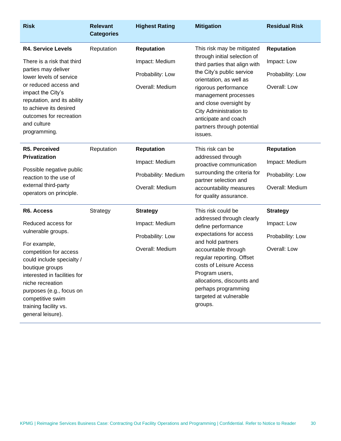| <b>Risk</b>                                                                                                                                                                                                                                                                                        | <b>Relevant</b><br><b>Categories</b> | <b>Highest Rating</b>                                                         | <b>Mitigation</b>                                                                                                                                                                                                                                                                                                        | <b>Residual Risk</b>                                                       |
|----------------------------------------------------------------------------------------------------------------------------------------------------------------------------------------------------------------------------------------------------------------------------------------------------|--------------------------------------|-------------------------------------------------------------------------------|--------------------------------------------------------------------------------------------------------------------------------------------------------------------------------------------------------------------------------------------------------------------------------------------------------------------------|----------------------------------------------------------------------------|
| <b>R4. Service Levels</b><br>There is a risk that third<br>parties may deliver<br>lower levels of service<br>or reduced access and<br>impact the City's<br>reputation, and its ability<br>to achieve its desired<br>outcomes for recreation<br>and culture<br>programming.                         | Reputation                           | <b>Reputation</b><br>Impact: Medium<br>Probability: Low<br>Overall: Medium    | This risk may be mitigated<br>through initial selection of<br>third parties that align with<br>the City's public service<br>orientation, as well as<br>rigorous performance<br>management processes<br>and close oversight by<br>City Administration to<br>anticipate and coach<br>partners through potential<br>issues. | <b>Reputation</b><br>Impact: Low<br>Probability: Low<br>Overall: Low       |
| R5. Perceived<br>Privatization<br>Possible negative public<br>reaction to the use of<br>external third-party<br>operators on principle.                                                                                                                                                            | Reputation                           | <b>Reputation</b><br>Impact: Medium<br>Probability: Medium<br>Overall: Medium | This risk can be<br>addressed through<br>proactive communication<br>surrounding the criteria for<br>partner selection and<br>accountability measures<br>for quality assurance.                                                                                                                                           | <b>Reputation</b><br>Impact: Medium<br>Probability: Low<br>Overall: Medium |
| R6. Access<br>Reduced access for<br>vulnerable groups.<br>For example,<br>competition for access<br>could include specialty /<br>boutique groups<br>interested in facilities for<br>niche recreation<br>purposes (e.g., focus on<br>competitive swim<br>training facility vs.<br>general leisure). | Strategy                             | <b>Strategy</b><br>Impact: Medium<br>Probability: Low<br>Overall: Medium      | This risk could be<br>addressed through clearly<br>define performance<br>expectations for access<br>and hold partners<br>accountable through<br>regular reporting. Offset<br>costs of Leisure Access<br>Program users,<br>allocations, discounts and<br>perhaps programming<br>targeted at vulnerable<br>groups.         | <b>Strategy</b><br>Impact: Low<br>Probability: Low<br>Overall: Low         |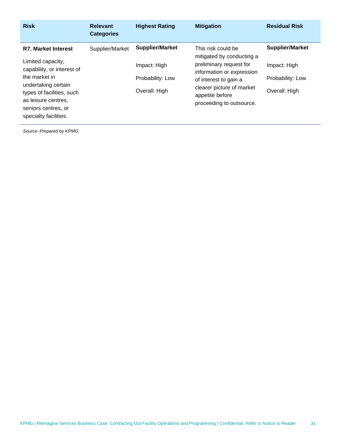| <b>Risk</b>                                                                                                                                                                                                               | <b>Relevant</b><br><b>Categories</b> | <b>Highest Rating</b>                                                       | <b>Mitigation</b>                                                                                                                                                                                            | <b>Residual Risk</b>                                                        |
|---------------------------------------------------------------------------------------------------------------------------------------------------------------------------------------------------------------------------|--------------------------------------|-----------------------------------------------------------------------------|--------------------------------------------------------------------------------------------------------------------------------------------------------------------------------------------------------------|-----------------------------------------------------------------------------|
| <b>R7. Market Interest</b><br>Limited capacity,<br>capability, or interest of<br>the market in<br>undertaking certain<br>types of facilities, such<br>as leisure centres,<br>seniors centres, or<br>specialty facilities. | Supplier/Market                      | <b>Supplier/Market</b><br>Impact: High<br>Probability: Low<br>Overall: High | This risk could be<br>mitigated by conducting a<br>preliminary request for<br>information or expression<br>of interest to gain a<br>clearer picture of market<br>appetite before<br>proceeding to outsource. | <b>Supplier/Market</b><br>Impact: High<br>Probability: Low<br>Overall: High |

*Source: Prepared by KPMG.*